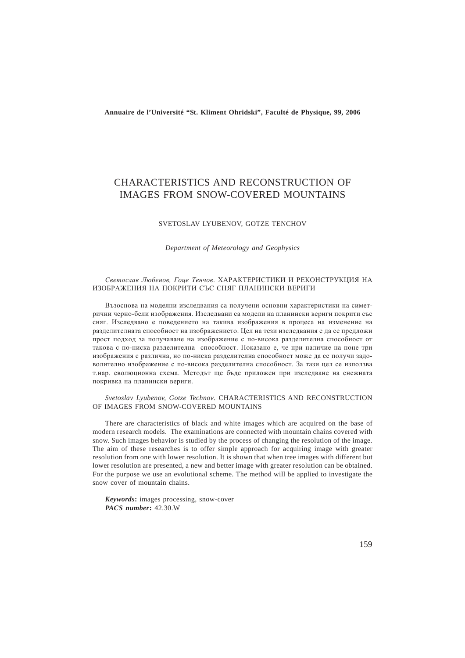**Annuaire de l'Université "St. Kliment Ohridski", Faculté de Physique, 99, 2006**

# CHARACTERISTICS AND RECONSTRUCTION OF IMAGES FROM SNOW-COVERED MOUNTAINS

#### SVETOSLAV LYUBENOV, GOTZE TENCHOV

*Department of Meteorology and Geophysics*

## Светослав Любенов, Гоце Тенчов. ХАРАКТЕРИСТИКИ И РЕКОНСТРУКЦИЯ НА ИЗОБРАЖЕНИЯ НА ПОКРИТИ СЪС СНЯГ ПЛАНИНСКИ ВЕРИГИ

Възоснова на моделни изследвания са получени основни характеристики на симетрични черно-бели изображения. Изслелвани са молели на планински вериги покрити със сняг. Изследвано е поведението на такива изображения в процеса на изменение на разделителната способност на изображението. Цел на тези изследвания е да се предложи прост подход за получаване на изображение с по-висока разделителна способност от такова с по-ниска разделителна способност. Показано е, че при наличие на поне три изображения с различна, но по-ниска разлелителна способност може ла се получи заловолително изображение с по-висока разделителна способност. За тази цел се използва т.нар. еволюционна схема. Метолът ше бъле приложен при изслелване на снежната покривка на планински вериги.

### *Svetoslav Lyubenov, Gotze Technov*. CHARACTERISTICS AND RECONSTRUCTION OF IMAGES FROM SNOW-COVERED MOUNTAINS

There are characteristics of black and white images which are acquired on the base of modern research models. The examinations are connected with mountain chains covered with snow. Such images behavior is studied by the process of changing the resolution of the image. The aim of these researches is to offer simple approach for acquiring image with greater resolution from one with lower resolution. It is shown that when tree images with different but lower resolution are presented, a new and better image with greater resolution can be obtained. For the purpose we use an evolutional scheme. The method will be applied to investigate the snow cover of mountain chains.

*Keywords***:** images processing, snow-cover *PACS number***:** 42.30.W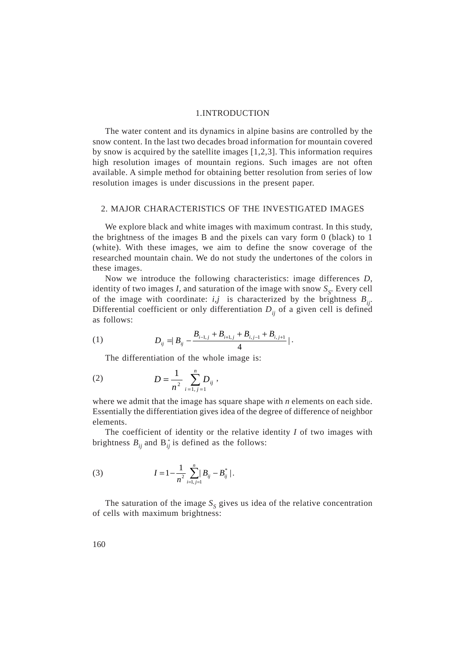#### 1.INTRODUCTION

The water content and its dynamics in alpine basins are controlled by the snow content. In the last two decades broad information for mountain covered by snow is acquired by the satellite images [1,2,3]. This information requires high resolution images of mountain regions. Such images are not often available. A simple method for obtaining better resolution from series of low resolution images is under discussions in the present paper.

## 2. MAJOR CHARACTERISTICS OF THE INVESTIGATED IMAGES

We explore black and white images with maximum contrast. In this study, the brightness of the images B and the pixels can vary form 0 (black) to 1 (white). With these images, we aim to define the snow coverage of the researched mountain chain. We do not study the undertones of the colors in these images.

Now we introduce the following characteristics: image differences *D*, identity of two images  $I$ , and saturation of the image with snow  $S_S$ . Every cell of the image with coordinate:  $i, j$  is characterized by the brightness  $B_{ii}$ . Differential coefficient or only differentiation  $D_{ij}$  of a given cell is defined as follows:

(1) 
$$
D_{ij} = |B_{ij} - \frac{B_{i-1,j} + B_{i+1,j} + B_{i,j-1} + B_{i,j+1}}{4}|.
$$

The differentiation of the whole image is:

(2) 
$$
D = \frac{1}{n^2} \sum_{i=1, j=1}^{n} D_{ij},
$$

where we admit that the image has square shape with *n* elements on each side. Essentially the differentiation gives idea of the degree of difference of neighbor elements.

The coefficient of identity or the relative identity *I* of two images with brightness  $B_{ij}$  and  $B_{ij}^*$  is defined as the follows:

(3) 
$$
I = 1 - \frac{1}{n^2} \sum_{i=1, j=1}^{n} |B_{ij} - B_{ij}^*|.
$$

The saturation of the image  $S<sub>s</sub>$  gives us idea of the relative concentration of cells with maximum brightness: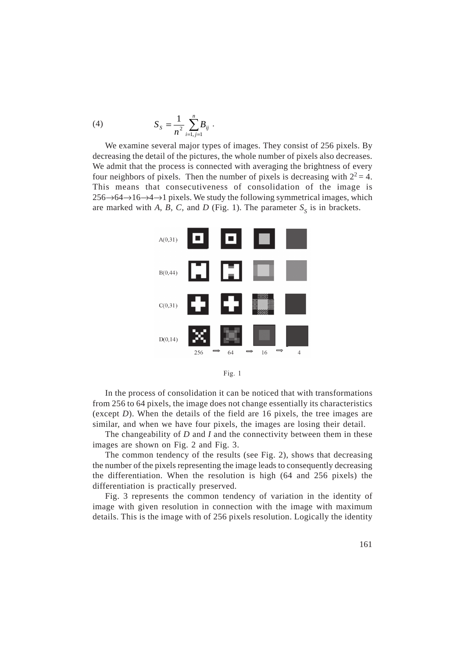(4) 
$$
S_{s} = \frac{1}{n^{2}} \sum_{i=1, j=1}^{n} B_{ij}.
$$

We examine several major types of images. They consist of 256 pixels. By decreasing the detail of the pictures, the whole number of pixels also decreases. We admit that the process is connected with averaging the brightness of every four neighbors of pixels. Then the number of pixels is decreasing with  $2^2 = 4$ . This means that consecutiveness of consolidation of the image is 256→64→16→4→1 pixels. We study the following symmetrical images, which are marked with *A*, *B*, *C*, and *D* (Fig. 1). The parameter  $S<sub>S</sub>$  is in brackets.



Fig. 1

In the process of consolidation it can be noticed that with transformations from 256 to 64 pixels, the image does not change essentially its characteristics (except *D*). When the details of the field are 16 pixels, the tree images are similar, and when we have four pixels, the images are losing their detail.

The changeability of *D* and *I* and the connectivity between them in these images are shown on Fig. 2 and Fig. 3.

The common tendency of the results (see Fig. 2), shows that decreasing the number of the pixels representing the image leads to consequently decreasing the differentiation. When the resolution is high (64 and 256 pixels) the differentiation is practically preserved.

Fig. 3 represents the common tendency of variation in the identity of image with given resolution in connection with the image with maximum details. This is the image with of 256 pixels resolution. Logically the identity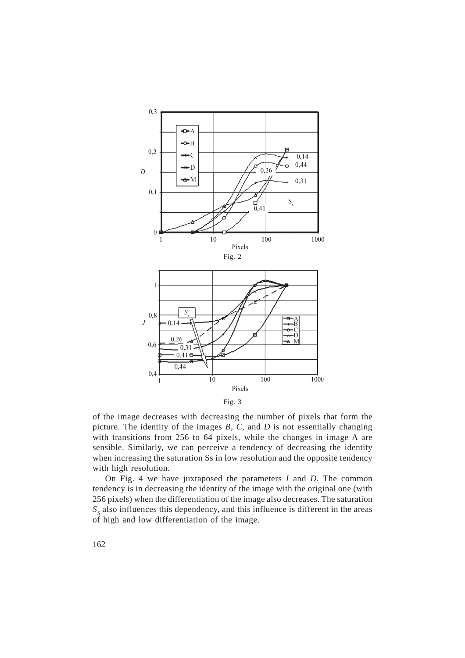



of the image decreases with decreasing the number of pixels that form the picture. The identity of the images *B*, *C,* and *D* is not essentially changing with transitions from 256 to 64 pixels, while the changes in image A are sensible. Similarly, we can perceive a tendency of decreasing the identity when increasing the saturation Ss in low resolution and the opposite tendency with high resolution.

On Fig. 4 we have juxtaposed the parameters *I* and *D*. The common tendency is in decreasing the identity of the image with the original one (with 256 pixels) when the differentiation of the image also decreases. The saturation  $S<sub>s</sub>$  also influences this dependency, and this influence is different in the areas of high and low differentiation of the image.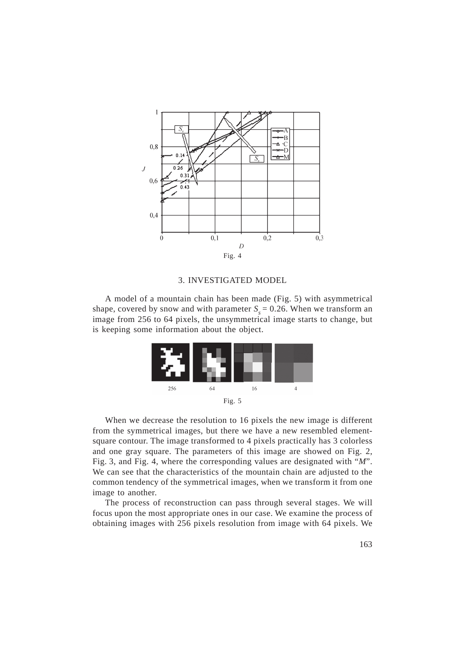

#### 3. INVESTIGATED MODEL

A model of a mountain chain has been made (Fig. 5) with asymmetrical shape, covered by snow and with parameter  $S_s = 0.26$ . When we transform an image from 256 to 64 pixels, the unsymmetrical image starts to change, but is keeping some information about the object.



When we decrease the resolution to 16 pixels the new image is different from the symmetrical images, but there we have a new resembled elementsquare contour. The image transformed to 4 pixels practically has 3 colorless and one gray square. The parameters of this image are showed on Fig. 2, Fig. 3, and Fig. 4, where the corresponding values are designated with "*M*". We can see that the characteristics of the mountain chain are adjusted to the common tendency of the symmetrical images, when we transform it from one image to another.

The process of reconstruction can pass through several stages. We will focus upon the most appropriate ones in our case. We examine the process of obtaining images with 256 pixels resolution from image with 64 pixels. We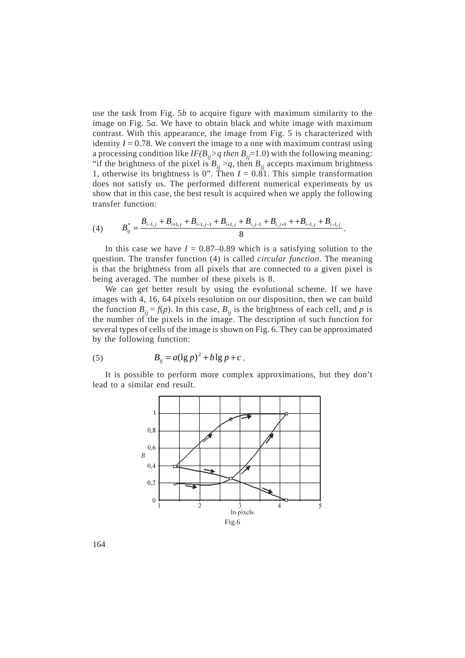use the task from Fig. 5*b* to acquire figure with maximum similarity to the image on Fig. 5*a*. We have to obtain black and white image with maximum contrast. With this appearance, the image from Fig. 5 is characterized with identity  $I = 0.78$ . We convert the image to a one with maximum contrast using a processing condition like  $IF(B_{ij} > q \text{ then } B_{ij} = 1.0)$  with the following meaning: "if the brightness of the pixel is  $B_{ij} > q$ , then  $B_{ij}$  accepts maximum brightness 1, otherwise its brightness is 0". Then  $I = 0.81$ . This simple transformation does not satisfy us. The performed different numerical experiments by us show that in this case, the best result is acquired when we apply the following transfer function:

(4) 
$$
B_{ij}^* = \frac{B_{i-1,j} + B_{i+1,j} + B_{i-1,j-1} + B_{i+1,j} + B_{i,j-1} + B_{i,j+1} + B_{i-1,j} + B_{i-1,j}}{8}.
$$

In this case we have  $I = 0.87{\text -}0.89$  which is a satisfying solution to the question. The transfer function (4) is called *circular function*. The meaning is that the brightness from all pixels that are connected to a given pixel is being averaged. The number of these pixels is 8.

We can get better result by using the evolutional scheme. If we have images with 4, 16, 64 pixels resolution on our disposition, then we can build the function  $B_{ii} = f(p)$ . In this case,  $B_{ii}$  is the brightness of each cell, and *p* is the number of the pixels in the image. The description of such function for several types of cells of the image is shown on Fig. 6. They can be approximated by the following function:

(5) 
$$
B_{ij} = a(\lg p)^2 + b\lg p + c.
$$

It is possible to perform more complex approximations, but they don't lead to a similar end result.



164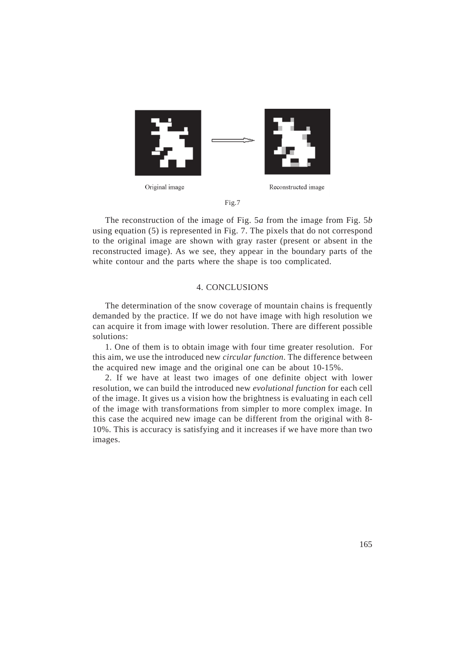

Fig.7

The reconstruction of the image of Fig. 5*a* from the image from Fig. 5*b* using equation (5) is represented in Fig. 7. The pixels that do not correspond to the original image are shown with gray raster (present or absent in the reconstructed image). As we see, they appear in the boundary parts of the white contour and the parts where the shape is too complicated.

# 4. CONCLUSIONS

The determination of the snow coverage of mountain chains is frequently demanded by the practice. If we do not have image with high resolution we can acquire it from image with lower resolution. There are different possible solutions:

1. One of them is to obtain image with four time greater resolution. For this aim, we use the introduced new *circular function.* The difference between the acquired new image and the original one can be about 10-15%.

2. If we have at least two images of one definite object with lower resolution, we can build the introduced new *evolutional function* for each cell of the image. It gives us a vision how the brightness is evaluating in each cell of the image with transformations from simpler to more complex image. In this case the acquired new image can be different from the original with 8- 10%. This is accuracy is satisfying and it increases if we have more than two images.